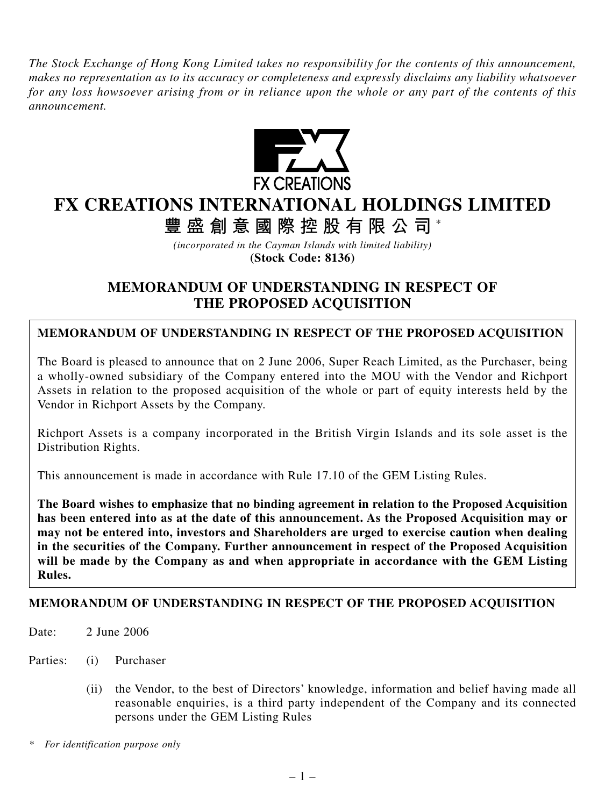*The Stock Exchange of Hong Kong Limited takes no responsibility for the contents of this announcement, makes no representation as to its accuracy or completeness and expressly disclaims any liability whatsoever for any loss howsoever arising from or in reliance upon the whole or any part of the contents of this announcement.*



# **FX CREATIONS INTERNATIONAL HOLDINGS LIMITED**

**豐盛創意國際控股有限公司** \*

*(incorporated in the Cayman Islands with limited liability)* **(Stock Code: 8136)**

## **MEMORANDUM OF UNDERSTANDING IN RESPECT OF THE PROPOSED ACQUISITION**

### **MEMORANDUM OF UNDERSTANDING IN RESPECT OF THE PROPOSED ACQUISITION**

The Board is pleased to announce that on 2 June 2006, Super Reach Limited, as the Purchaser, being a wholly-owned subsidiary of the Company entered into the MOU with the Vendor and Richport Assets in relation to the proposed acquisition of the whole or part of equity interests held by the Vendor in Richport Assets by the Company.

Richport Assets is a company incorporated in the British Virgin Islands and its sole asset is the Distribution Rights.

This announcement is made in accordance with Rule 17.10 of the GEM Listing Rules.

**The Board wishes to emphasize that no binding agreement in relation to the Proposed Acquisition has been entered into as at the date of this announcement. As the Proposed Acquisition may or may not be entered into, investors and Shareholders are urged to exercise caution when dealing in the securities of the Company. Further announcement in respect of the Proposed Acquisition will be made by the Company as and when appropriate in accordance with the GEM Listing Rules.**

#### **MEMORANDUM OF UNDERSTANDING IN RESPECT OF THE PROPOSED ACQUISITION**

Date: 2 June 2006

Parties: (i) Purchaser

(ii) the Vendor, to the best of Directors' knowledge, information and belief having made all reasonable enquiries, is a third party independent of the Company and its connected persons under the GEM Listing Rules

*\* For identification purpose only*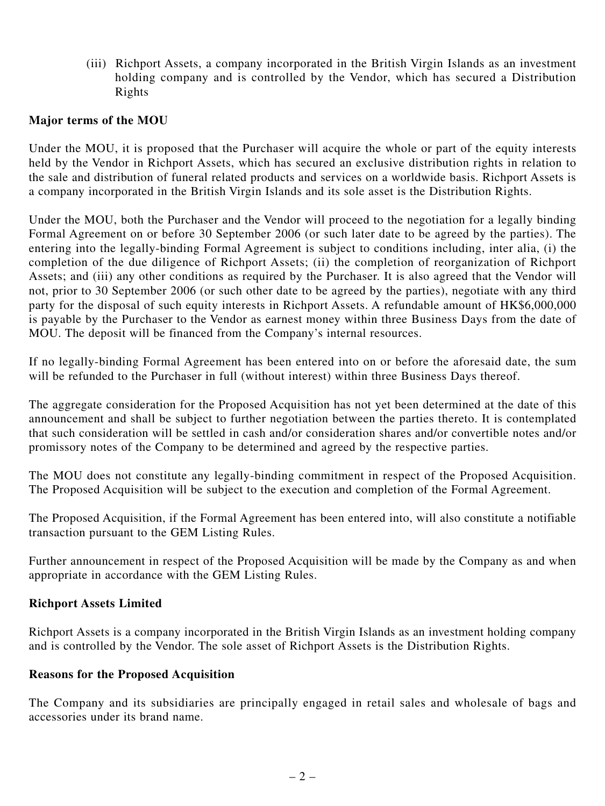(iii) Richport Assets, a company incorporated in the British Virgin Islands as an investment holding company and is controlled by the Vendor, which has secured a Distribution Rights

#### **Major terms of the MOU**

Under the MOU, it is proposed that the Purchaser will acquire the whole or part of the equity interests held by the Vendor in Richport Assets, which has secured an exclusive distribution rights in relation to the sale and distribution of funeral related products and services on a worldwide basis. Richport Assets is a company incorporated in the British Virgin Islands and its sole asset is the Distribution Rights.

Under the MOU, both the Purchaser and the Vendor will proceed to the negotiation for a legally binding Formal Agreement on or before 30 September 2006 (or such later date to be agreed by the parties). The entering into the legally-binding Formal Agreement is subject to conditions including, inter alia, (i) the completion of the due diligence of Richport Assets; (ii) the completion of reorganization of Richport Assets; and (iii) any other conditions as required by the Purchaser. It is also agreed that the Vendor will not, prior to 30 September 2006 (or such other date to be agreed by the parties), negotiate with any third party for the disposal of such equity interests in Richport Assets. A refundable amount of HK\$6,000,000 is payable by the Purchaser to the Vendor as earnest money within three Business Days from the date of MOU. The deposit will be financed from the Company's internal resources.

If no legally-binding Formal Agreement has been entered into on or before the aforesaid date, the sum will be refunded to the Purchaser in full (without interest) within three Business Days thereof.

The aggregate consideration for the Proposed Acquisition has not yet been determined at the date of this announcement and shall be subject to further negotiation between the parties thereto. It is contemplated that such consideration will be settled in cash and/or consideration shares and/or convertible notes and/or promissory notes of the Company to be determined and agreed by the respective parties.

The MOU does not constitute any legally-binding commitment in respect of the Proposed Acquisition. The Proposed Acquisition will be subject to the execution and completion of the Formal Agreement.

The Proposed Acquisition, if the Formal Agreement has been entered into, will also constitute a notifiable transaction pursuant to the GEM Listing Rules.

Further announcement in respect of the Proposed Acquisition will be made by the Company as and when appropriate in accordance with the GEM Listing Rules.

#### **Richport Assets Limited**

Richport Assets is a company incorporated in the British Virgin Islands as an investment holding company and is controlled by the Vendor. The sole asset of Richport Assets is the Distribution Rights.

#### **Reasons for the Proposed Acquisition**

The Company and its subsidiaries are principally engaged in retail sales and wholesale of bags and accessories under its brand name.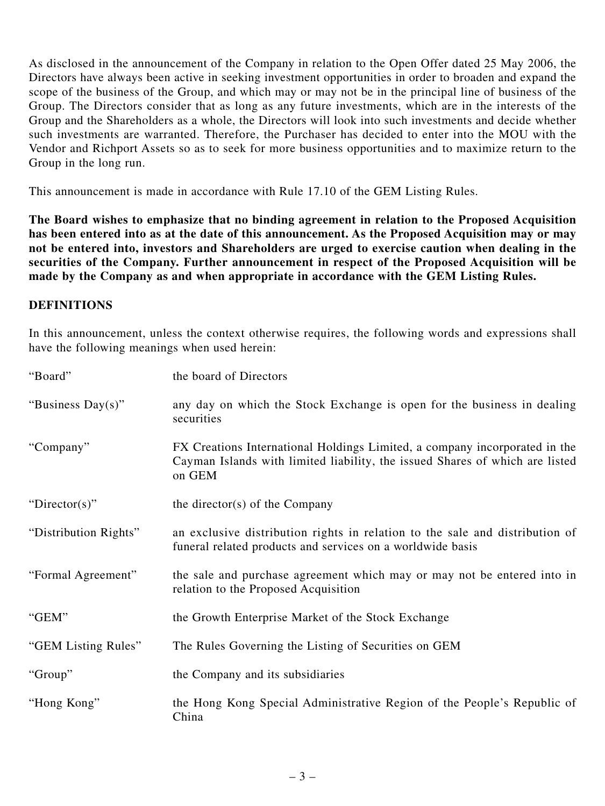As disclosed in the announcement of the Company in relation to the Open Offer dated 25 May 2006, the Directors have always been active in seeking investment opportunities in order to broaden and expand the scope of the business of the Group, and which may or may not be in the principal line of business of the Group. The Directors consider that as long as any future investments, which are in the interests of the Group and the Shareholders as a whole, the Directors will look into such investments and decide whether such investments are warranted. Therefore, the Purchaser has decided to enter into the MOU with the Vendor and Richport Assets so as to seek for more business opportunities and to maximize return to the Group in the long run.

This announcement is made in accordance with Rule 17.10 of the GEM Listing Rules.

**The Board wishes to emphasize that no binding agreement in relation to the Proposed Acquisition has been entered into as at the date of this announcement. As the Proposed Acquisition may or may not be entered into, investors and Shareholders are urged to exercise caution when dealing in the securities of the Company. Further announcement in respect of the Proposed Acquisition will be made by the Company as and when appropriate in accordance with the GEM Listing Rules.**

#### **DEFINITIONS**

In this announcement, unless the context otherwise requires, the following words and expressions shall have the following meanings when used herein:

| "Board"               | the board of Directors                                                                                                                                               |
|-----------------------|----------------------------------------------------------------------------------------------------------------------------------------------------------------------|
| "Business Day(s)"     | any day on which the Stock Exchange is open for the business in dealing<br>securities                                                                                |
| "Company"             | FX Creations International Holdings Limited, a company incorporated in the<br>Cayman Islands with limited liability, the issued Shares of which are listed<br>on GEM |
| "Director(s)"         | the director(s) of the Company                                                                                                                                       |
| "Distribution Rights" | an exclusive distribution rights in relation to the sale and distribution of<br>funeral related products and services on a worldwide basis                           |
| "Formal Agreement"    | the sale and purchase agreement which may or may not be entered into in<br>relation to the Proposed Acquisition                                                      |
| "GEM"                 | the Growth Enterprise Market of the Stock Exchange                                                                                                                   |
| "GEM Listing Rules"   | The Rules Governing the Listing of Securities on GEM                                                                                                                 |
| "Group"               | the Company and its subsidiaries                                                                                                                                     |
| "Hong Kong"           | the Hong Kong Special Administrative Region of the People's Republic of<br>China                                                                                     |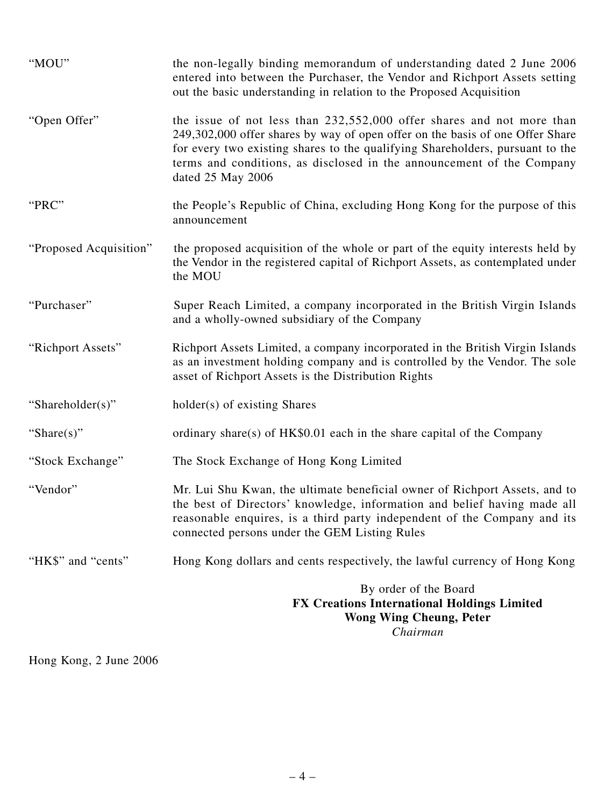| "MOU"                  | the non-legally binding memorandum of understanding dated 2 June 2006<br>entered into between the Purchaser, the Vendor and Richport Assets setting<br>out the basic understanding in relation to the Proposed Acquisition                                                                                                            |
|------------------------|---------------------------------------------------------------------------------------------------------------------------------------------------------------------------------------------------------------------------------------------------------------------------------------------------------------------------------------|
| "Open Offer"           | the issue of not less than 232,552,000 offer shares and not more than<br>249,302,000 offer shares by way of open offer on the basis of one Offer Share<br>for every two existing shares to the qualifying Shareholders, pursuant to the<br>terms and conditions, as disclosed in the announcement of the Company<br>dated 25 May 2006 |
| "PRC"                  | the People's Republic of China, excluding Hong Kong for the purpose of this<br>announcement                                                                                                                                                                                                                                           |
| "Proposed Acquisition" | the proposed acquisition of the whole or part of the equity interests held by<br>the Vendor in the registered capital of Richport Assets, as contemplated under<br>the MOU                                                                                                                                                            |
| "Purchaser"            | Super Reach Limited, a company incorporated in the British Virgin Islands<br>and a wholly-owned subsidiary of the Company                                                                                                                                                                                                             |
| "Richport Assets"      | Richport Assets Limited, a company incorporated in the British Virgin Islands<br>as an investment holding company and is controlled by the Vendor. The sole<br>asset of Richport Assets is the Distribution Rights                                                                                                                    |
| "Shareholder(s)"       | holder(s) of existing Shares                                                                                                                                                                                                                                                                                                          |
| "Share $(s)$ "         | ordinary share(s) of $HK\$0.01$ each in the share capital of the Company                                                                                                                                                                                                                                                              |
| "Stock Exchange"       | The Stock Exchange of Hong Kong Limited                                                                                                                                                                                                                                                                                               |
| "Vendor"               | Mr. Lui Shu Kwan, the ultimate beneficial owner of Richport Assets, and to<br>the best of Directors' knowledge, information and belief having made all<br>reasonable enquires, is a third party independent of the Company and its<br>connected persons under the GEM Listing Rules                                                   |
| "HK\$" and "cents"     | Hong Kong dollars and cents respectively, the lawful currency of Hong Kong                                                                                                                                                                                                                                                            |
|                        | By order of the Board<br><b>FX Creations International Holdings Limited</b><br><b>Wong Wing Cheung, Peter</b><br>Chairman                                                                                                                                                                                                             |

Hong Kong, 2 June 2006